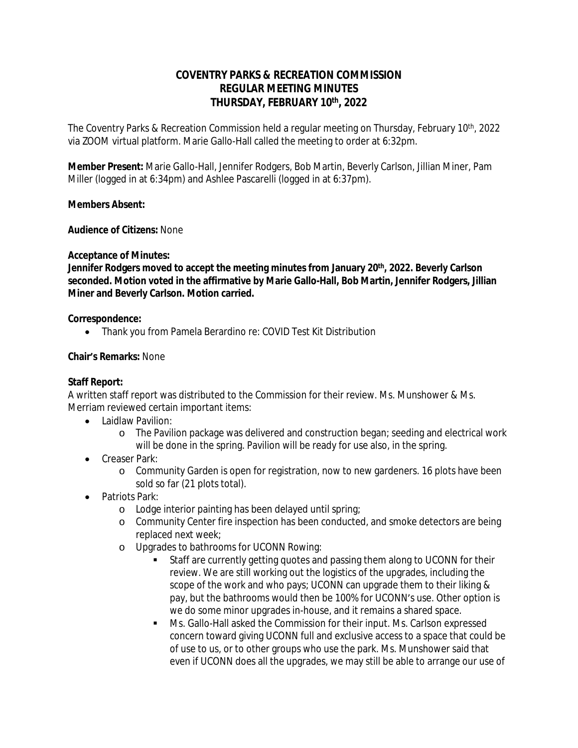# **COVENTRY PARKS & RECREATION COMMISSION REGULAR MEETING MINUTES THURSDAY, FEBRUARY 10th, 2022**

The Coventry Parks & Recreation Commission held a regular meeting on Thursday, February 10th, 2022 via ZOOM virtual platform. Marie Gallo-Hall called the meeting to order at 6:32pm.

**Member Present:** Marie Gallo-Hall, Jennifer Rodgers, Bob Martin, Beverly Carlson, Jillian Miner, Pam Miller (logged in at 6:34pm) and Ashlee Pascarelli (logged in at 6:37pm).

## **Members Absent:**

**Audience of Citizens:** None

## **Acceptance of Minutes:**

**Jennifer Rodgers moved to accept the meeting minutes from January 20th, 2022. Beverly Carlson seconded. Motion voted in the affirmative by Marie Gallo-Hall, Bob Martin, Jennifer Rodgers, Jillian Miner and Beverly Carlson. Motion carried.**

## **Correspondence:**

Thank you from Pamela Berardino re: COVID Test Kit Distribution

## **Chair's Remarks:** None

## **Staff Report:**

A written staff report was distributed to the Commission for their review. Ms. Munshower & Ms. Merriam reviewed certain important items:

- Laidlaw Pavilion:
	- o The Pavilion package was delivered and construction began; seeding and electrical work will be done in the spring. Pavilion will be ready for use also, in the spring.
- **Creaser Park:** 
	- o Community Garden is open for registration, now to new gardeners. 16 plots have been sold so far (21 plots total).
- Patriots Park:
	- o Lodge interior painting has been delayed until spring;
	- o Community Center fire inspection has been conducted, and smoke detectors are being replaced next week;
	- o Upgrades to bathrooms for UCONN Rowing:
		- Staff are currently getting quotes and passing them along to UCONN for their review. We are still working out the logistics of the upgrades, including the scope of the work and who pays; UCONN can upgrade them to their liking & pay, but the bathrooms would then be 100% for UCONN's use. Other option is we do some minor upgrades in-house, and it remains a shared space.
		- Ms. Gallo-Hall asked the Commission for their input. Ms. Carlson expressed concern toward giving UCONN full and exclusive access to a space that could be of use to us, or to other groups who use the park. Ms. Munshower said that even if UCONN does all the upgrades, we may still be able to arrange our use of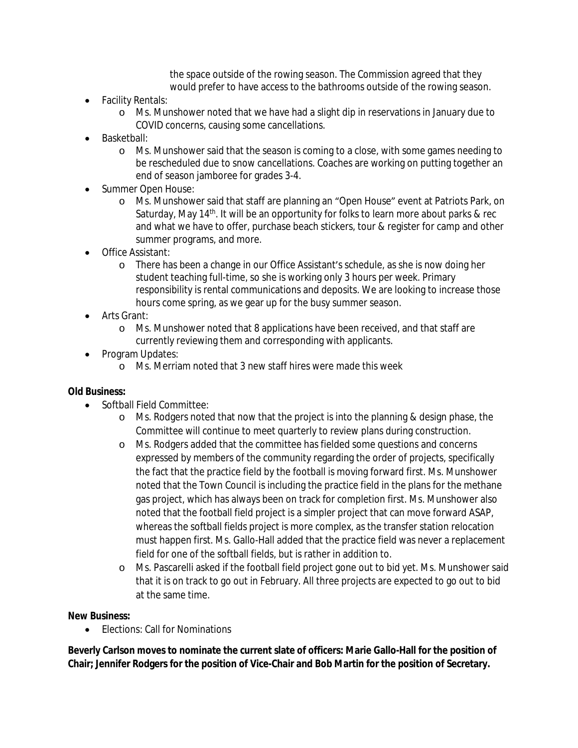the space outside of the rowing season. The Commission agreed that they would prefer to have access to the bathrooms outside of the rowing season.

- Facility Rentals:
	- o Ms. Munshower noted that we have had a slight dip in reservations in January due to COVID concerns, causing some cancellations.
- Basketball:
	- o Ms. Munshower said that the season is coming to a close, with some games needing to be rescheduled due to snow cancellations. Coaches are working on putting together an end of season jamboree for grades 3-4.
- Summer Open House:
	- o Ms. Munshower said that staff are planning an "Open House" event at Patriots Park, on Saturday, May 14th. It will be an opportunity for folks to learn more about parks & rec and what we have to offer, purchase beach stickers, tour & register for camp and other summer programs, and more.
- Office Assistant:
	- o There has been a change in our Office Assistant's schedule, as she is now doing her student teaching full-time, so she is working only 3 hours per week. Primary responsibility is rental communications and deposits. We are looking to increase those hours come spring, as we gear up for the busy summer season.
- Arts Grant:
	- o Ms. Munshower noted that 8 applications have been received, and that staff are currently reviewing them and corresponding with applicants.
- Program Updates:
	- o Ms. Merriam noted that 3 new staff hires were made this week

#### **Old Business:**

- Softball Field Committee:
	- o Ms. Rodgers noted that now that the project is into the planning & design phase, the Committee will continue to meet quarterly to review plans during construction.
	- o Ms. Rodgers added that the committee has fielded some questions and concerns expressed by members of the community regarding the order of projects, specifically the fact that the practice field by the football is moving forward first. Ms. Munshower noted that the Town Council is including the practice field in the plans for the methane gas project, which has always been on track for completion first. Ms. Munshower also noted that the football field project is a simpler project that can move forward ASAP, whereas the softball fields project is more complex, as the transfer station relocation must happen first. Ms. Gallo-Hall added that the practice field was never a replacement field for one of the softball fields, but is rather in addition to.
	- o Ms. Pascarelli asked if the football field project gone out to bid yet. Ms. Munshower said that it is on track to go out in February. All three projects are expected to go out to bid at the same time.

#### **New Business:**

• Elections: Call for Nominations

**Beverly Carlson moves to nominate the current slate of officers: Marie Gallo-Hall for the position of Chair; Jennifer Rodgers for the position of Vice-Chair and Bob Martin for the position of Secretary.**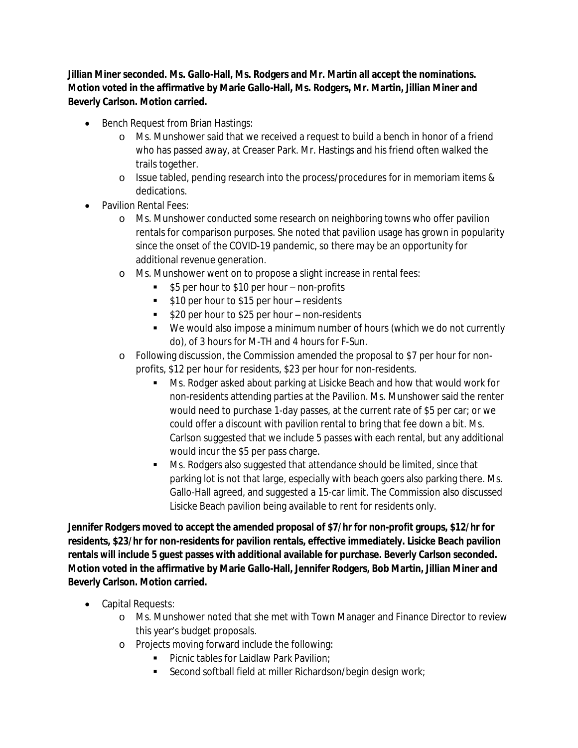**Jillian Miner seconded. Ms. Gallo-Hall, Ms. Rodgers and Mr. Martin all accept the nominations. Motion voted in the affirmative by Marie Gallo-Hall, Ms. Rodgers, Mr. Martin, Jillian Miner and Beverly Carlson. Motion carried.**

- Bench Request from Brian Hastings:
	- o Ms. Munshower said that we received a request to build a bench in honor of a friend who has passed away, at Creaser Park. Mr. Hastings and his friend often walked the trails together.
	- o Issue tabled, pending research into the process/procedures for in memoriam items & dedications.
- Pavilion Rental Fees:
	- o Ms. Munshower conducted some research on neighboring towns who offer pavilion rentals for comparison purposes. She noted that pavilion usage has grown in popularity since the onset of the COVID-19 pandemic, so there may be an opportunity for additional revenue generation.
	- o Ms. Munshower went on to propose a slight increase in rental fees:
		- \$5 per hour to \$10 per hour non-profits
		- **510 per hour to \$15 per hour residents**
		- **520 per hour to \$25 per hour non-residents**
		- We would also impose a minimum number of hours (which we do not currently do), of 3 hours for M-TH and 4 hours for F-Sun.
	- o Following discussion, the Commission amended the proposal to \$7 per hour for nonprofits, \$12 per hour for residents, \$23 per hour for non-residents.
		- **Ms. Rodger asked about parking at Lisicke Beach and how that would work for** non-residents attending parties at the Pavilion. Ms. Munshower said the renter would need to purchase 1-day passes, at the current rate of \$5 per car; or we could offer a discount with pavilion rental to bring that fee down a bit. Ms. Carlson suggested that we include 5 passes with each rental, but any additional would incur the \$5 per pass charge.
		- **Ms. Rodgers also suggested that attendance should be limited, since that** parking lot is not that large, especially with beach goers also parking there. Ms. Gallo-Hall agreed, and suggested a 15-car limit. The Commission also discussed Lisicke Beach pavilion being available to rent for residents only.

**Jennifer Rodgers moved to accept the amended proposal of \$7/hr for non-profit groups, \$12/hr for residents, \$23/hr for non-residents for pavilion rentals, effective immediately. Lisicke Beach pavilion rentals will include 5 guest passes with additional available for purchase. Beverly Carlson seconded. Motion voted in the affirmative by Marie Gallo-Hall, Jennifer Rodgers, Bob Martin, Jillian Miner and Beverly Carlson. Motion carried.**

- Capital Requests:
	- o Ms. Munshower noted that she met with Town Manager and Finance Director to review this year's budget proposals.
	- o Projects moving forward include the following:
		- **Picnic tables for Laidlaw Park Pavilion:**
		- Second softball field at miller Richardson/begin design work;